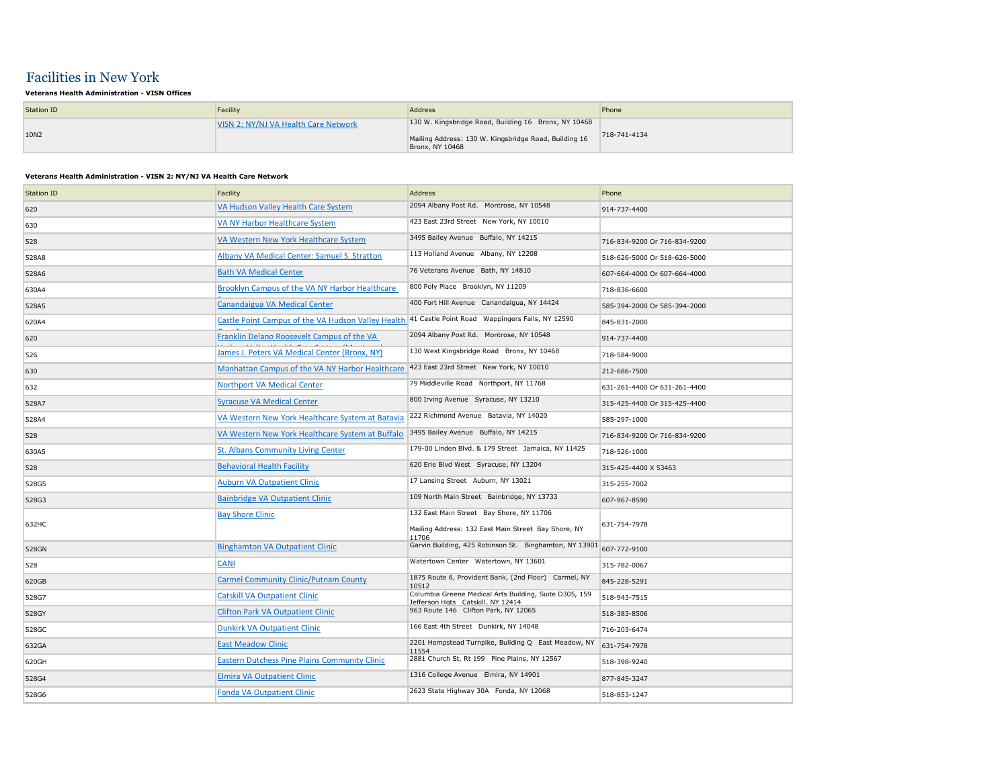## Facilities in New York

## **Veterans Health Administration - VISN Offices**

| Station ID | Facility                             | Address                                                                                                                          | Phone        |
|------------|--------------------------------------|----------------------------------------------------------------------------------------------------------------------------------|--------------|
| 10N2       | VISN 2: NY/NJ VA Health Care Network | 130 W. Kingsbridge Road, Building 16 Bronx, NY 10468<br>Mailing Address: 130 W. Kingsbridge Road, Building 16<br>Bronx, NY 10468 | 718-741-4134 |

## **Veterans Health Administration - VISN 2: NY/NJ VA Health Care Network**

| <b>Station ID</b> | Facility                                                                                           | <b>Address</b>                                                                                           | Phone                        |
|-------------------|----------------------------------------------------------------------------------------------------|----------------------------------------------------------------------------------------------------------|------------------------------|
| 620               | VA Hudson Valley Health Care System                                                                | 2094 Albany Post Rd. Montrose, NY 10548                                                                  | 914-737-4400                 |
| 630               | VA NY Harbor Healthcare System                                                                     | 423 East 23rd Street New York, NY 10010                                                                  |                              |
| 528               | VA Western New York Healthcare System                                                              | 3495 Bailey Avenue Buffalo, NY 14215                                                                     | 716-834-9200 Or 716-834-9200 |
| 528A8             | Albany VA Medical Center: Samuel S. Stratton                                                       | 113 Holland Avenue Albany, NY 12208                                                                      | 518-626-5000 Or 518-626-5000 |
| 528A6             | <b>Bath VA Medical Center</b>                                                                      | 76 Veterans Avenue Bath, NY 14810                                                                        | 607-664-4000 Or 607-664-4000 |
| 630A4             | Brooklyn Campus of the VA NY Harbor Healthcare                                                     | 800 Poly Place Brooklyn, NY 11209                                                                        | 718-836-6600                 |
| 528A5             | Canandaigua VA Medical Center                                                                      | 400 Fort Hill Avenue Canandaigua, NY 14424                                                               | 585-394-2000 Or 585-394-2000 |
| 620A4             | Castle Point Campus of the VA Hudson Valley Health 41 Castle Point Road Wappingers Falls, NY 12590 |                                                                                                          | 845-831-2000                 |
| 620               | Franklin Delano Roosevelt Campus of the VA                                                         | 2094 Albany Post Rd. Montrose, NY 10548                                                                  | 914-737-4400                 |
| 526               | James J. Peters VA Medical Center (Bronx, NY)                                                      | 130 West Kingsbridge Road Bronx, NY 10468                                                                | 718-584-9000                 |
| 630               | Manhattan Campus of the VA NY Harbor Healthcare                                                    | 423 East 23rd Street New York, NY 10010                                                                  | 212-686-7500                 |
| 632               | <b>Northport VA Medical Center</b>                                                                 | 79 Middleville Road Northport, NY 11768                                                                  | 631-261-4400 Or 631-261-4400 |
| 528A7             | <b>Syracuse VA Medical Center</b>                                                                  | 800 Irving Avenue Syracuse, NY 13210                                                                     | 315-425-4400 Or 315-425-4400 |
| 528A4             | VA Western New York Healthcare System at Batavia                                                   | 222 Richmond Avenue Batavia, NY 14020                                                                    | 585-297-1000                 |
| 528               | VA Western New York Healthcare System at Buffalo                                                   | 3495 Bailey Avenue Buffalo, NY 14215                                                                     | 716-834-9200 Or 716-834-9200 |
| 630A5             | St. Albans Community Living Center                                                                 | 179-00 Linden Blvd. & 179 Street Jamaica, NY 11425                                                       | 718-526-1000                 |
| 528               | <b>Behavioral Health Facility</b>                                                                  | 620 Erie Blvd West Syracuse, NY 13204                                                                    | 315-425-4400 X 53463         |
| 528G5             | <b>Auburn VA Outpatient Clinic</b>                                                                 | 17 Lansing Street Auburn, NY 13021                                                                       | 315-255-7002                 |
| 528G3             | <b>Bainbridge VA Outpatient Clinic</b>                                                             | 109 North Main Street Bainbridge, NY 13733                                                               | 607-967-8590                 |
| 632HC             | <b>Bay Shore Clinic</b>                                                                            | 132 East Main Street Bay Shore, NY 11706<br>Mailing Address: 132 East Main Street Bay Shore, NY<br>11706 | 631-754-7978                 |
| 528GN             | <b>Binghamton VA Outpatient Clinic</b>                                                             | Garvin Building, 425 Robinson St. Binghamton, NY 13901                                                   | 607-772-9100                 |
| 528               | <b>CANI</b>                                                                                        | Watertown Center Watertown, NY 13601                                                                     | 315-782-0067                 |
| 620GB             | <b>Carmel Community Clinic/Putnam County</b>                                                       | 1875 Route 6, Provident Bank, (2nd Floor) Carmel, NY<br>10512                                            | 845-228-5291                 |
| 528G7             | <b>Catskill VA Outpatient Clinic</b>                                                               | Columbia Greene Medical Arts Building, Suite D305, 159<br>Jefferson Hats Catskill, NY 12414              | 518-943-7515                 |
| 528GY             | <b>Clifton Park VA Outpatient Clinic</b>                                                           | 963 Route 146 Clifton Park, NY 12065                                                                     | 518-383-8506                 |
| 528GC             | <b>Dunkirk VA Outpatient Clinic</b>                                                                | 166 East 4th Street Dunkirk, NY 14048                                                                    | 716-203-6474                 |
| 632GA             | <b>East Meadow Clinic</b>                                                                          | 2201 Hempstead Turnpike, Building Q East Meadow, NY<br>11554                                             | 631-754-7978                 |
| 620GH             | <b>Eastern Dutchess Pine Plains Community Clinic</b>                                               | 2881 Church St, Rt 199 Pine Plains, NY 12567                                                             | 518-398-9240                 |
| 528G4             | <b>Elmira VA Outpatient Clinic</b>                                                                 | 1316 College Avenue Elmira, NY 14901                                                                     | 877-845-3247                 |
| 528G6             | <b>Fonda VA Outpatient Clinic</b>                                                                  | 2623 State Highway 30A Fonda, NY 12068                                                                   | 518-853-1247                 |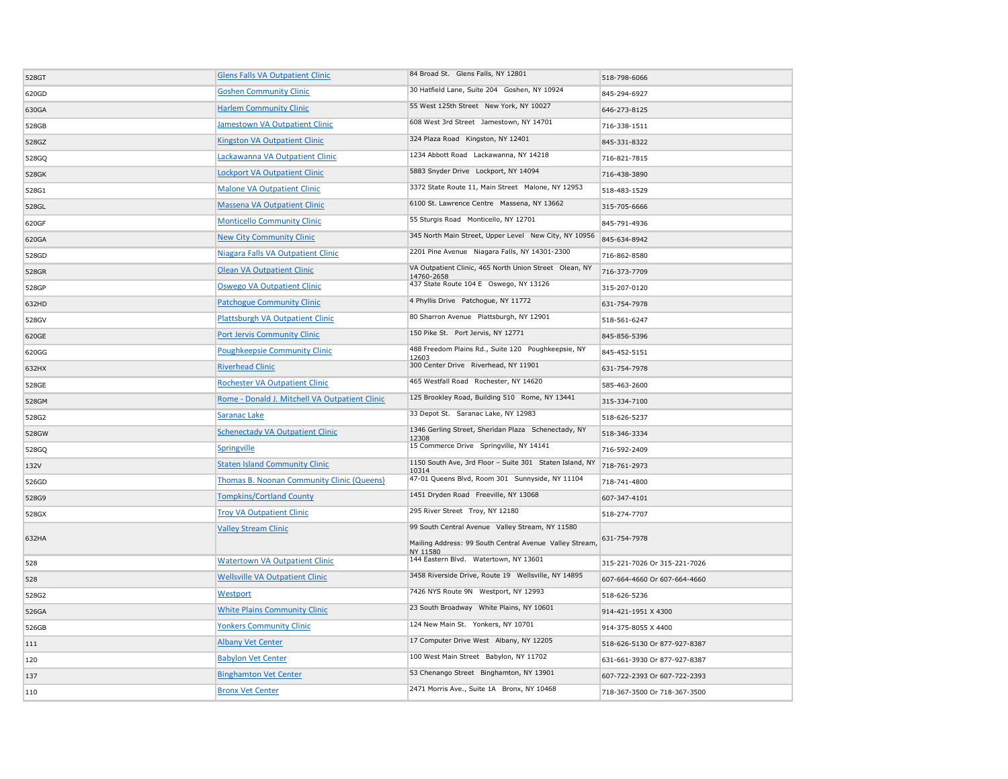| 528GT | <b>Glens Falls VA Outpatient Clinic</b>        | 84 Broad St. Glens Falls, NY 12801                                                                                     | 518-798-6066                 |
|-------|------------------------------------------------|------------------------------------------------------------------------------------------------------------------------|------------------------------|
| 620GD | <b>Goshen Community Clinic</b>                 | 30 Hatfield Lane, Suite 204 Goshen, NY 10924                                                                           | 845-294-6927                 |
| 630GA | <b>Harlem Community Clinic</b>                 | 55 West 125th Street New York, NY 10027                                                                                | 646-273-8125                 |
| 528GB | Jamestown VA Outpatient Clinic                 | 608 West 3rd Street Jamestown, NY 14701                                                                                | 716-338-1511                 |
| 528GZ | Kingston VA Outpatient Clinic                  | 324 Plaza Road Kingston, NY 12401                                                                                      | 845-331-8322                 |
| 528GQ | Lackawanna VA Outpatient Clinic                | 1234 Abbott Road Lackawanna, NY 14218                                                                                  | 716-821-7815                 |
| 528GK | <b>Lockport VA Outpatient Clinic</b>           | 5883 Snyder Drive Lockport, NY 14094                                                                                   | 716-438-3890                 |
| 528G1 | <b>Malone VA Outpatient Clinic</b>             | 3372 State Route 11, Main Street Malone, NY 12953                                                                      | 518-483-1529                 |
| 528GL | <b>Massena VA Outpatient Clinic</b>            | 6100 St. Lawrence Centre Massena, NY 13662                                                                             | 315-705-6666                 |
| 620GF | <b>Monticello Community Clinic</b>             | 55 Sturgis Road Monticello, NY 12701                                                                                   | 845-791-4936                 |
| 620GA | <b>New City Community Clinic</b>               | 345 North Main Street, Upper Level New City, NY 10956                                                                  | 845-634-8942                 |
| 528GD | Niagara Falls VA Outpatient Clinic             | 2201 Pine Avenue Niagara Falls, NY 14301-2300                                                                          | 716-862-8580                 |
| 528GR | <b>Olean VA Outpatient Clinic</b>              | VA Outpatient Clinic, 465 North Union Street Olean, NY<br>14760-2658                                                   | 716-373-7709                 |
| 528GP | <b>Oswego VA Outpatient Clinic</b>             | 437 State Route 104 E Oswego, NY 13126                                                                                 | 315-207-0120                 |
| 632HD | <b>Patchogue Community Clinic</b>              | 4 Phyllis Drive Patchogue, NY 11772                                                                                    | 631-754-7978                 |
| 528GV | Plattsburgh VA Outpatient Clinic               | 80 Sharron Avenue Plattsburgh, NY 12901                                                                                | 518-561-6247                 |
| 620GE | Port Jervis Community Clinic                   | 150 Pike St. Port Jervis, NY 12771                                                                                     | 845-856-5396                 |
| 620GG | <b>Poughkeepsie Community Clinic</b>           | 488 Freedom Plains Rd., Suite 120 Poughkeepsie, NY<br>12603                                                            | 845-452-5151                 |
| 632HX | <b>Riverhead Clinic</b>                        | 300 Center Drive Riverhead, NY 11901                                                                                   | 631-754-7978                 |
| 528GE | <b>Rochester VA Outpatient Clinic</b>          | 465 Westfall Road Rochester, NY 14620                                                                                  | 585-463-2600                 |
| 528GM | Rome - Donald J. Mitchell VA Outpatient Clinic | 125 Brookley Road, Building 510 Rome, NY 13441                                                                         | 315-334-7100                 |
| 528G2 | Saranac Lake                                   | 33 Depot St. Saranac Lake, NY 12983                                                                                    | 518-626-5237                 |
| 528GW | <b>Schenectady VA Outpatient Clinic</b>        | 1346 Gerling Street, Sheridan Plaza Schenectady, NY<br>12308                                                           | 518-346-3334                 |
| 528GQ | Springville                                    | 15 Commerce Drive Springville, NY 14141                                                                                | 716-592-2409                 |
| 132V  | <b>Staten Island Community Clinic</b>          | 1150 South Ave, 3rd Floor - Suite 301 Staten Island, NY<br>10314                                                       | 718-761-2973                 |
| 526GD | Thomas B. Noonan Community Clinic (Queens)     | 47-01 Queens Blvd, Room 301 Sunnyside, NY 11104                                                                        | 718-741-4800                 |
| 528G9 | <b>Tompkins/Cortland County</b>                | 1451 Dryden Road Freeville, NY 13068                                                                                   | 607-347-4101                 |
| 528GX | <b>Troy VA Outpatient Clinic</b>               | 295 River Street Troy, NY 12180                                                                                        | 518-274-7707                 |
| 632HA | <b>Valley Stream Clinic</b>                    | 99 South Central Avenue Valley Stream, NY 11580<br>Mailing Address: 99 South Central Avenue Valley Stream,<br>NY 11580 | 631-754-7978                 |
| 528   | <b>Watertown VA Outpatient Clinic</b>          | 144 Eastern Blvd. Watertown, NY 13601                                                                                  | 315-221-7026 Or 315-221-7026 |
| 528   | <b>Wellsville VA Outpatient Clinic</b>         | 3458 Riverside Drive, Route 19 Wellsville, NY 14895                                                                    | 607-664-4660 Or 607-664-4660 |
| 528G2 | Westport                                       | 7426 NYS Route 9N Westport, NY 12993                                                                                   | 518-626-5236                 |
| 526GA | <b>White Plains Community Clinic</b>           | 23 South Broadway White Plains, NY 10601                                                                               | 914-421-1951 X 4300          |
| 526GB | <b>Yonkers Community Clinic</b>                | 124 New Main St. Yonkers, NY 10701                                                                                     | 914-375-8055 X 4400          |
| 111   | <b>Albany Vet Center</b>                       | 17 Computer Drive West Albany, NY 12205                                                                                | 518-626-5130 Or 877-927-8387 |
| 120   | <b>Babylon Vet Center</b>                      | 100 West Main Street Babylon, NY 11702                                                                                 | 631-661-3930 Or 877-927-8387 |
| 137   | <b>Binghamton Vet Center</b>                   | 53 Chenango Street Binghamton, NY 13901                                                                                | 607-722-2393 Or 607-722-2393 |
| 110   | <b>Bronx Vet Center</b>                        | 2471 Morris Ave., Suite 1A Bronx, NY 10468                                                                             | 718-367-3500 Or 718-367-3500 |